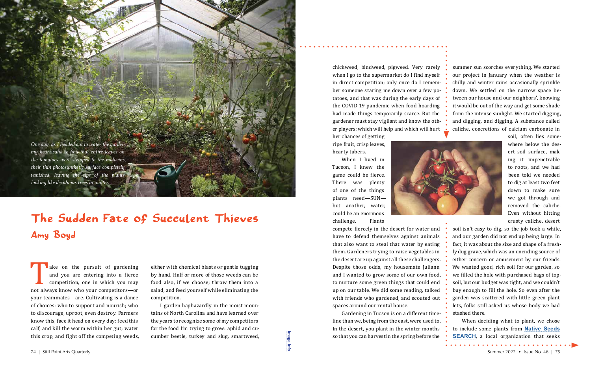*One day, as I headed out to water the garden, my heart sank to find that entire leaves on the tomatoes were stripped to the midveins, their thin photosynthetic surface completely vanished, leaving the tips of the plants looking like deciduous trees in winter.* 

ake on the pursuit of gardening<br>and you are entering into a fierce<br>competition, one in which you may<br>not always know who your competitors—or<br>wour teammates—are Cultivating is a dance and you are entering into a fierce competition, one in which you may not always know who your competitors—or your teammates—are. Cultivating is a dance of choices: who to support and nourish; who to discourage, uproot, even destroy. Farmers know this, face it head on every day: feed this calf, and kill the worm within her gut; water this crop, and fight off the competing weeds,

either with chemical blasts or gentle tugging by hand. Half or more of those weeds can be food also, if we choose; throw them into a salad, and feed yourself while eliminating the competition.

I garden haphazardly in the moist mountains of North Carolina and have learned over the years to recognize some of my competitors for the food I'm trying to grow: aphid and cucumber beetle, turkey and slug, smartweed,

Gardening in Tucson is on a different timeline than we, being from the east, were used to. In the desert, you plant in the winter months so that you can harvest in the spring before the This crop, and fight off the competing weeds, cumber beetle, turkey and slug, smartweed,<br>
The still Point Arts Quarterly Summer 2022 • Issue No. 46 | 75

chickweed, bindweed, pigweed. Very rarely when I go to the supermarket do I find myself in direct competition; only once do I remember someone staring me down over a few potatoes, and that was during the early days of the COVID-19 pandemic when food hoarding had made things temporarily scarce. But the gardener must stay vigilant and know the other players: which will help and which will hurt

her chances of getting ripe fruit, crisp leaves, hearty tubers.

When I lived in Tucson, I knew the game could be fierce. There was plenty of one of the things plants need—SUN but another, water, could be an enormous challenge. Plants



When deciding what to plant, we chose to include some plants from **[Native Seeds](https://www.nativeseeds.org)  [SEARCH](https://www.nativeseeds.org)**, a local organization that seeks

compete fiercely in the desert for water and have to defend themselves against animals that also want to steal that water by eating them. Gardeners trying to raise vegetables in the desert are up against all these challengers. Despite those odds, my housemate Juliann and I wanted to grow some of our own food, to nurture some green things that could end up on our table. We did some reading, talked with friends who gardened, and scouted out spaces around our rental house.

summer sun scorches everything. We started our project in January when the weather is chilly and winter rains occasionally sprinkle down. We settled on the narrow space between our house and our neighbors', knowing it would be out of the way and get some shade from the intense sunlight. We started digging, and digging, and digging. A substance called caliche, concretions of calcium carbonate in

> soil, often lies somewhere below the desert soil surface, making it impenetrable to roots, and we had been told we needed to dig at least two feet down to make sure we got through and removed the caliche. Even without hitting crusty caliche, desert

soil isn't easy to dig, so the job took a while, and our garden did not end up being large. In fact, it was about the size and shape of a freshly dug grave, which was an unending source of either concern or amusement by our friends. We wanted good, rich soil for our garden, so we filled the hole with purchased bags of topsoil, but our budget was tight, and we couldn't buy enough to fill the hole. So even after the garden was scattered with little green plantlets, folks still asked us whose body we had stashed there.

## The Sudden Fate of Succulent Thieves Amy Boyd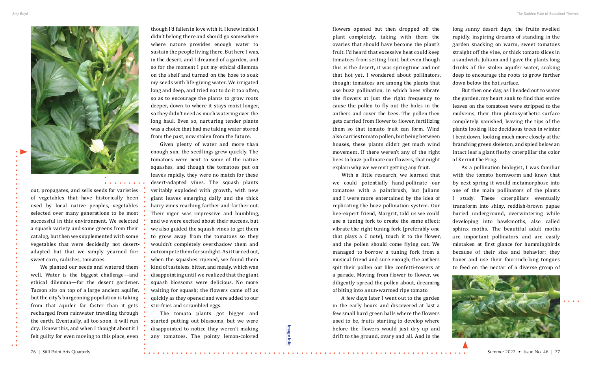

out, propagates, and sells seeds for varieties of vegetables that have historically been used by local native peoples, vegetables selected over many generations to be most successful in this environment. We selected a squash variety and some greens from their catalog, but then we supplemented with some vegetables that were decidedly not desertadapted but that we simply yearned for: sweet corn, radishes, tomatoes.

We planted our seeds and watered them well. Water is the biggest challenge—and ethical dilemma—for the desert gardener. Tucson sits on top of a large ancient aquifer, but the city's burgeoning population is taking from that aquifer far faster than it gets recharged from rainwater traveling through the earth. Eventually, all too soon, it will run dry. I knew this, and when I thought about it I felt guilty for even moving to this place, even

though I'd fallen in love with it. I knew inside I didn't belong there and should go somewhere where nature provides enough water to sustain the people living there. But here I was, in the desert, and I dreamed of a garden, and so for the moment I put my ethical dilemma on the shelf and turned on the hose to soak my seeds with life-giving water. We irrigated long and deep, and tried not to do it too often, so as to encourage the plants to grow roots deeper, down to where it stays moist longer, so they didn't need as much watering over the long haul. Even so, nurturing tender plants was a choice that had me taking water stored from the past, now stolen from the future.

Given plenty of water and more than enough sun, the seedlings grew quickly. The tomatoes were next to some of the native squashes, and though the tomatoes put on leaves rapidly, they were no match for these desert-adapted vines. The squash plants veritably exploded with growth, with new giant leaves emerging daily and the thick hairy vines reaching farther and farther out. Their vigor was impressive and humbling, and we were excited about their success, but we also guided the squash vines to get them to grow away from the tomatoes so they wouldn't completely overshadow them and outcompete them for sunlight. As it turned out, when the squashes ripened, we found them kind of tasteless, bitter, and mealy, which was disappointing until we realized that the giant squash blossoms were delicious. No more waiting for squash; the flowers came off as quickly as they opened and were added to our stir-fries and scrambled eggs.

The tomato plants got bigger and started putting out blossoms, but we were disappointed to notice they weren't making any tomatoes. The pointy lemon-colored

flowers opened but then dropped off the plant completely, taking with them the ovaries that should have become the plant's fruit. I'd heard that excessive heat could keep tomatoes from setting fruit, but even though this is the desert, it was springtime and not that hot yet. I wondered about pollinators, though; tomatoes are among the plants that use buzz pollination, in which bees vibrate the flowers at just the right frequency to cause the pollen to fly out the holes in the anthers and cover the bees. The pollen then gets carried from flower to flower, fertilizing them so that tomato fruit can form. Wind also carries tomato pollen, but being between houses, these plants didn't get much wind movement. If there weren't any of the right bees to buzz-pollinate our flowers, that might explain why we weren't getting any fruit.

With a little research, we learned that we could potentially hand-pollinate our tomatoes with a paintbrush, but Juliann and I were more entertained by the idea of replicating the buzz-pollination system. Our bee-expert friend, Margrit, told us we could use a tuning fork to create the same effect: vibrate the right tuning fork (preferably one that plays a C note), touch it to the flower, and the pollen should come flying out. We managed to borrow a tuning fork from a musical friend and sure enough, the anthers spit their pollen out like confetti-tossers at a parade. Moving from flower to flower, we diligently spread the pollen about, dreaming of biting into a sun-warmed ripe tomato.

A few days later I went out to the garden in the early hours and discovered at last a few small hard green balls where the flowers used to be, fruits starting to develop where before the flowers would just dry up and drift to the ground, ovary and all. And in the

long sunny desert days, the fruits swelled rapidly, inspiring dreams of standing in the garden snacking on warm, sweet tomatoes straight off the vine, or thick tomato slices in a sandwich. Juliann and I gave the plants long drinks of the stolen aquifer water, soaking deep to encourage the roots to grow farther down below the hot surface.



But then one day, as I headed out to water the garden, my heart sank to find that entire leaves on the tomatoes were stripped to the midveins, their thin photosynthetic surface completely vanished, leaving the tips of the plants looking like deciduous trees in winter. I bent down, looking much more closely at the branching green skeleton, and spied below an intact leaf a giant fleshy caterpillar the color of Kermit the Frog.

As a pollination biologist, I was familiar with the tomato hornworm and knew that by next spring it would metamorphose into one of the main pollinators of the plants I study. These caterpillars eventually transform into shiny, reddish-brown pupae buried underground, overwintering while developing into hawkmoths, also called sphinx moths. The beautiful adult moths are important pollinators and are easily mistaken at first glance for hummingbirds because of their size and behavior; they hover and use their four-inch-long tongues to feed on the nectar of a diverse group of



**[image info](http://www.shantiarts.co/SPAQ/SPAQ46/files/SPAQ46_SUM22_DIGITAL_IMAGECREDITS.pdf)**

image info